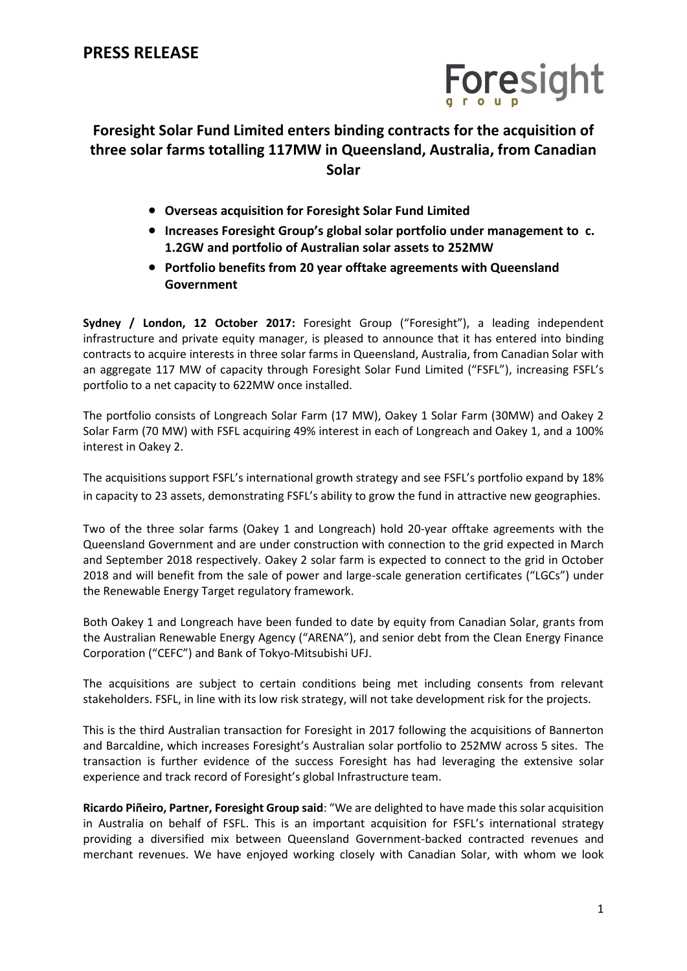

## **Foresight Solar Fund Limited enters binding contracts for the acquisition of three solar farms totalling 117MW in Queensland, Australia, from Canadian Solar**

- **Overseas acquisition for Foresight Solar Fund Limited**
- **Increases Foresight Group's global solar portfolio under management to c. 1.2GW and portfolio of Australian solar assets to 252MW**
- **Portfolio benefits from 20 year offtake agreements with Queensland Government**

**Sydney / London, 12 October 2017:** Foresight Group ("Foresight"), a leading independent infrastructure and private equity manager, is pleased to announce that it has entered into binding contracts to acquire interests in three solar farms in Queensland, Australia, from Canadian Solar with an aggregate 117 MW of capacity through Foresight Solar Fund Limited ("FSFL"), increasing FSFL's portfolio to a net capacity to 622MW once installed.

The portfolio consists of Longreach Solar Farm (17 MW), Oakey 1 Solar Farm (30MW) and Oakey 2 Solar Farm (70 MW) with FSFL acquiring 49% interest in each of Longreach and Oakey 1, and a 100% interest in Oakey 2.

The acquisitions support FSFL's international growth strategy and see FSFL's portfolio expand by 18% in capacity to 23 assets, demonstrating FSFL's ability to grow the fund in attractive new geographies.

Two of the three solar farms (Oakey 1 and Longreach) hold 20-year offtake agreements with the Queensland Government and are under construction with connection to the grid expected in March and September 2018 respectively. Oakey 2 solar farm is expected to connect to the grid in October 2018 and will benefit from the sale of power and large-scale generation certificates ("LGCs") under the Renewable Energy Target regulatory framework.

Both Oakey 1 and Longreach have been funded to date by equity from Canadian Solar, grants from the Australian Renewable Energy Agency ("ARENA"), and senior debt from the Clean Energy Finance Corporation ("CEFC") and Bank of Tokyo-Mitsubishi UFJ.

The acquisitions are subject to certain conditions being met including consents from relevant stakeholders. FSFL, in line with its low risk strategy, will not take development risk for the projects.

This is the third Australian transaction for Foresight in 2017 following the acquisitions of Bannerton and Barcaldine, which increases Foresight's Australian solar portfolio to 252MW across 5 sites. The transaction is further evidence of the success Foresight has had leveraging the extensive solar experience and track record of Foresight's global Infrastructure team.

**Ricardo Piñeiro, Partner, Foresight Group said**: "We are delighted to have made this solar acquisition in Australia on behalf of FSFL. This is an important acquisition for FSFL's international strategy providing a diversified mix between Queensland Government-backed contracted revenues and merchant revenues. We have enjoyed working closely with Canadian Solar, with whom we look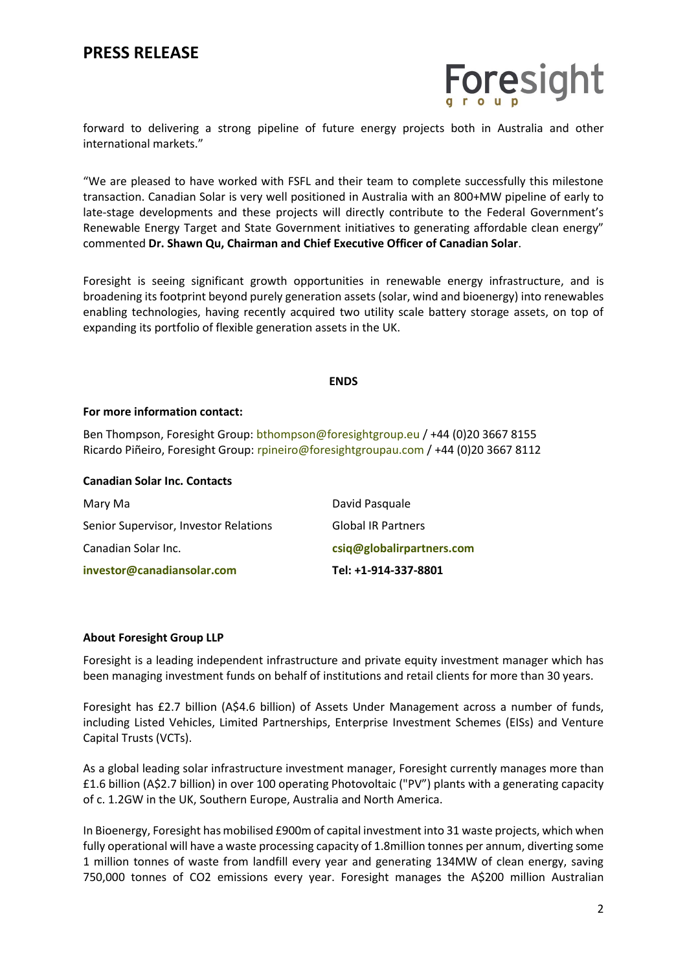## **PRESS RELEASE**



forward to delivering a strong pipeline of future energy projects both in Australia and other international markets."

"We are pleased to have worked with FSFL and their team to complete successfully this milestone transaction. Canadian Solar is very well positioned in Australia with an 800+MW pipeline of early to late-stage developments and these projects will directly contribute to the Federal Government's Renewable Energy Target and State Government initiatives to generating affordable clean energy" commented **Dr. Shawn Qu, Chairman and Chief Executive Officer of Canadian Solar**.

Foresight is seeing significant growth opportunities in renewable energy infrastructure, and is broadening its footprint beyond purely generation assets (solar, wind and bioenergy) into renewables enabling technologies, having recently acquired two utility scale battery storage assets, on top of expanding its portfolio of flexible generation assets in the UK.

#### **ENDS**

#### **For more information contact:**

Ben Thompson, Foresight Group: [bthompson@foresightgroup.eu](mailto:bthompson@foresightgroup.eu) / +44 (0)20 3667 8155 Ricardo Piñeiro, Foresight Group: [rpineiro@foresightgroupau.com](mailto:rpineiro@foresightgroupau.com) / +44 (0)20 3667 8112

#### **Canadian Solar Inc. Contacts**

| Mary Ma                               | David Pasquale            |
|---------------------------------------|---------------------------|
| Senior Supervisor, Investor Relations | <b>Global IR Partners</b> |
| Canadian Solar Inc.                   | csiq@globalirpartners.com |
| investor@canadiansolar.com            | Tel: +1-914-337-8801      |

### **About Foresight Group LLP**

Foresight is a leading independent infrastructure and private equity investment manager which has been managing investment funds on behalf of institutions and retail clients for more than 30 years.

Foresight has £2.7 billion (A\$4.6 billion) of Assets Under Management across a number of funds, including Listed Vehicles, Limited Partnerships, Enterprise Investment Schemes (EISs) and Venture Capital Trusts (VCTs).

As a global leading solar infrastructure investment manager, Foresight currently manages more than £1.6 billion (A\$2.7 billion) in over 100 operating Photovoltaic ("PV") plants with a generating capacity of c. 1.2GW in the UK, Southern Europe, Australia and North America.

In Bioenergy, Foresight has mobilised £900m of capital investment into 31 waste projects, which when fully operational will have a waste processing capacity of 1.8million tonnes per annum, diverting some 1 million tonnes of waste from landfill every year and generating 134MW of clean energy, saving 750,000 tonnes of CO2 emissions every year. Foresight manages the A\$200 million Australian